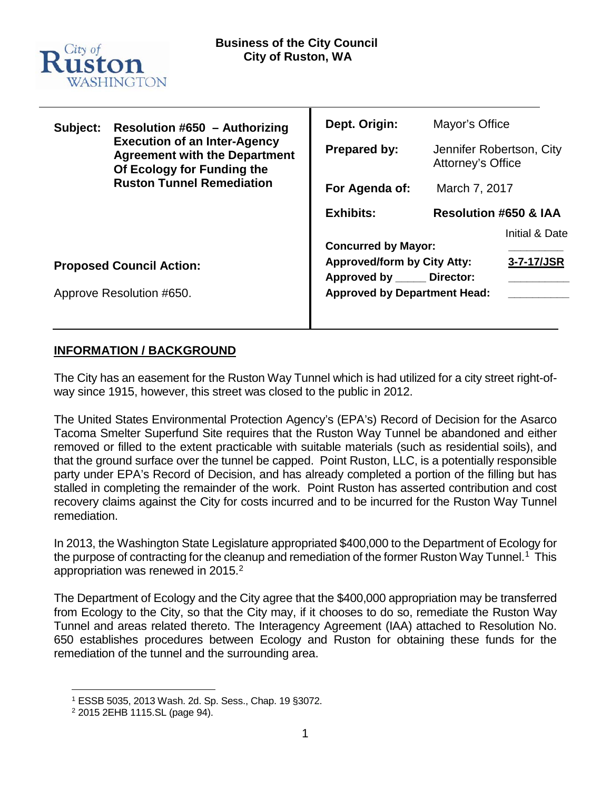

| Subject:                        | <b>Resolution #650 - Authorizing</b><br><b>Execution of an Inter-Agency</b><br><b>Agreement with the Department</b><br>Of Ecology for Funding the<br><b>Ruston Tunnel Remediation</b> | Dept. Origin:                                                    | Mayor's Office                                |                              |
|---------------------------------|---------------------------------------------------------------------------------------------------------------------------------------------------------------------------------------|------------------------------------------------------------------|-----------------------------------------------|------------------------------|
|                                 |                                                                                                                                                                                       | <b>Prepared by:</b>                                              | Jennifer Robertson, City<br>Attorney's Office |                              |
|                                 |                                                                                                                                                                                       | For Agenda of:                                                   | March 7, 2017                                 |                              |
|                                 |                                                                                                                                                                                       | <b>Exhibits:</b>                                                 | <b>Resolution #650 &amp; IAA</b>              |                              |
|                                 |                                                                                                                                                                                       | <b>Concurred by Mayor:</b><br><b>Approved/form by City Atty:</b> |                                               | Initial & Date<br>3-7-17/JSR |
| <b>Proposed Council Action:</b> |                                                                                                                                                                                       | Approved by _____ Director:                                      |                                               |                              |
| Approve Resolution #650.        |                                                                                                                                                                                       | <b>Approved by Department Head:</b>                              |                                               |                              |

# **INFORMATION / BACKGROUND**

The City has an easement for the Ruston Way Tunnel which is had utilized for a city street right-ofway since 1915, however, this street was closed to the public in 2012.

The United States Environmental Protection Agency's (EPA's) Record of Decision for the Asarco Tacoma Smelter Superfund Site requires that the Ruston Way Tunnel be abandoned and either removed or filled to the extent practicable with suitable materials (such as residential soils), and that the ground surface over the tunnel be capped. Point Ruston, LLC, is a potentially responsible party under EPA's Record of Decision, and has already completed a portion of the filling but has stalled in completing the remainder of the work. Point Ruston has asserted contribution and cost recovery claims against the City for costs incurred and to be incurred for the Ruston Way Tunnel remediation.

In 2013, the Washington State Legislature appropriated \$400,000 to the Department of Ecology for the purpose of contracting for the cleanup and remediation of the former Ruston Way Tunnel.[1](#page-0-0) This appropriation was renewed in [2](#page-0-1)015.<sup>2</sup>

The Department of Ecology and the City agree that the \$400,000 appropriation may be transferred from Ecology to the City, so that the City may, if it chooses to do so, remediate the Ruston Way Tunnel and areas related thereto. The Interagency Agreement (IAA) attached to Resolution No. 650 establishes procedures between Ecology and Ruston for obtaining these funds for the remediation of the tunnel and the surrounding area.

<span id="page-0-0"></span> <sup>1</sup> ESSB 5035, 2013 Wash. 2d. Sp. Sess., Chap. 19 §3072.

<span id="page-0-1"></span><sup>2</sup> 2015 2EHB 1115.SL (page 94).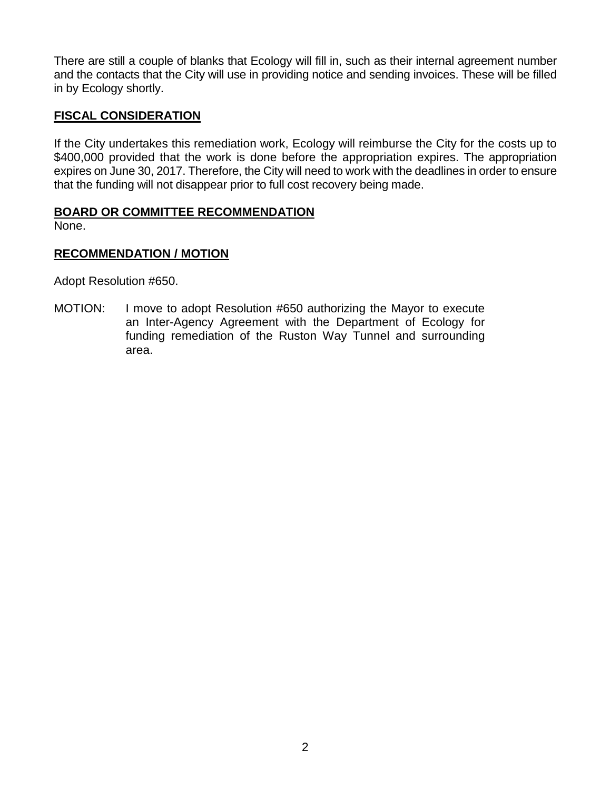There are still a couple of blanks that Ecology will fill in, such as their internal agreement number and the contacts that the City will use in providing notice and sending invoices. These will be filled in by Ecology shortly.

# **FISCAL CONSIDERATION**

If the City undertakes this remediation work, Ecology will reimburse the City for the costs up to \$400,000 provided that the work is done before the appropriation expires. The appropriation expires on June 30, 2017. Therefore, the City will need to work with the deadlines in order to ensure that the funding will not disappear prior to full cost recovery being made.

# **BOARD OR COMMITTEE RECOMMENDATION**

None.

# **RECOMMENDATION / MOTION**

Adopt Resolution #650.

MOTION: I move to adopt Resolution #650 authorizing the Mayor to execute an Inter-Agency Agreement with the Department of Ecology for funding remediation of the Ruston Way Tunnel and surrounding area.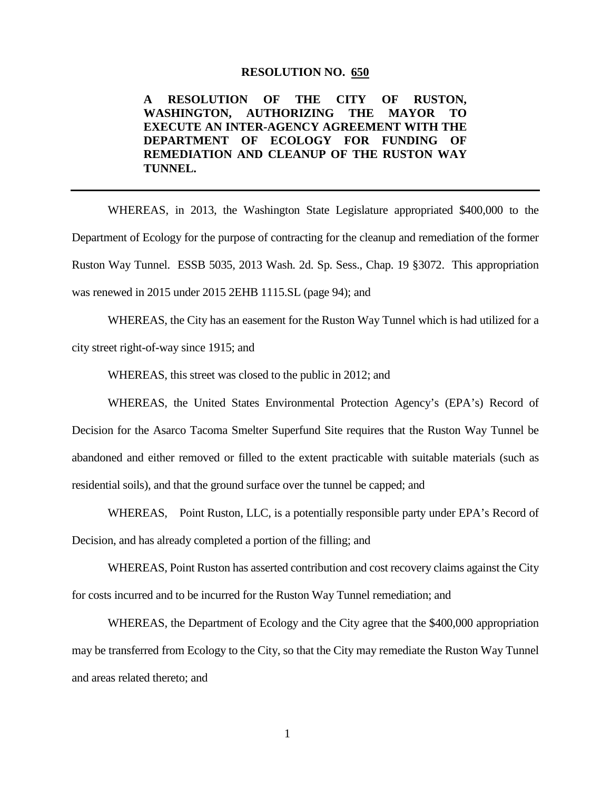#### **RESOLUTION NO. 650**

**A RESOLUTION OF THE CITY OF RUSTON, WASHINGTON, AUTHORIZING THE MAYOR TO EXECUTE AN INTER-AGENCY AGREEMENT WITH THE DEPARTMENT OF ECOLOGY FOR FUNDING OF REMEDIATION AND CLEANUP OF THE RUSTON WAY TUNNEL.**

WHEREAS, in 2013, the Washington State Legislature appropriated \$400,000 to the Department of Ecology for the purpose of contracting for the cleanup and remediation of the former Ruston Way Tunnel. ESSB 5035, 2013 Wash. 2d. Sp. Sess., Chap. 19 §3072. This appropriation was renewed in 2015 under 2015 2EHB 1115.SL (page 94); and

WHEREAS, the City has an easement for the Ruston Way Tunnel which is had utilized for a city street right-of-way since 1915; and

WHEREAS, this street was closed to the public in 2012; and

WHEREAS, the United States Environmental Protection Agency's (EPA's) Record of Decision for the Asarco Tacoma Smelter Superfund Site requires that the Ruston Way Tunnel be abandoned and either removed or filled to the extent practicable with suitable materials (such as residential soils), and that the ground surface over the tunnel be capped; and

WHEREAS, Point Ruston, LLC, is a potentially responsible party under EPA's Record of Decision, and has already completed a portion of the filling; and

WHEREAS, Point Ruston has asserted contribution and cost recovery claims against the City for costs incurred and to be incurred for the Ruston Way Tunnel remediation; and

WHEREAS, the Department of Ecology and the City agree that the \$400,000 appropriation may be transferred from Ecology to the City, so that the City may remediate the Ruston Way Tunnel and areas related thereto; and

1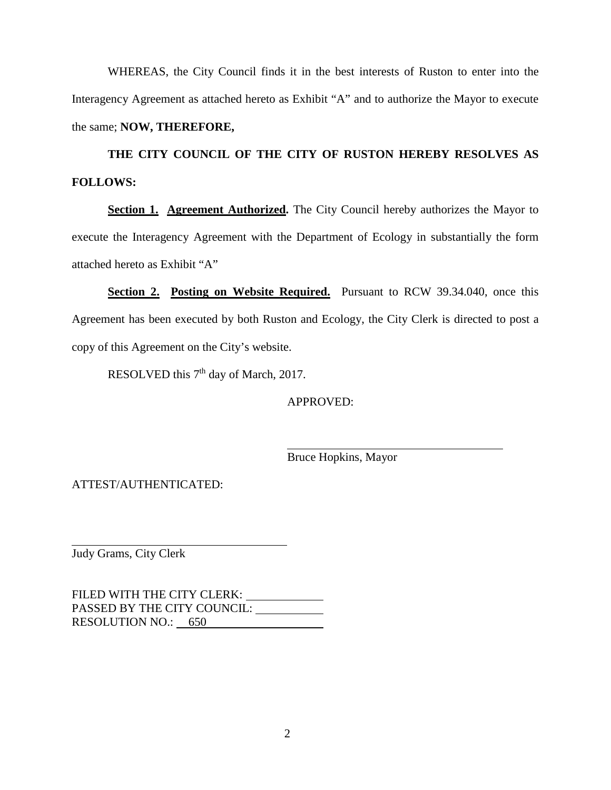WHEREAS, the City Council finds it in the best interests of Ruston to enter into the Interagency Agreement as attached hereto as Exhibit "A" and to authorize the Mayor to execute the same; **NOW, THEREFORE,** 

**THE CITY COUNCIL OF THE CITY OF RUSTON HEREBY RESOLVES AS FOLLOWS:** 

**Section 1. Agreement Authorized.** The City Council hereby authorizes the Mayor to execute the Interagency Agreement with the Department of Ecology in substantially the form attached hereto as Exhibit "A"

**Section 2. Posting on Website Required.** Pursuant to RCW 39.34.040, once this Agreement has been executed by both Ruston and Ecology, the City Clerk is directed to post a copy of this Agreement on the City's website.

RESOLVED this 7<sup>th</sup> day of March, 2017.

APPROVED:

Bruce Hopkins, Mayor

ATTEST/AUTHENTICATED:

Judy Grams, City Clerk

FILED WITH THE CITY CLERK: PASSED BY THE CITY COUNCIL: RESOLUTION NO.: 650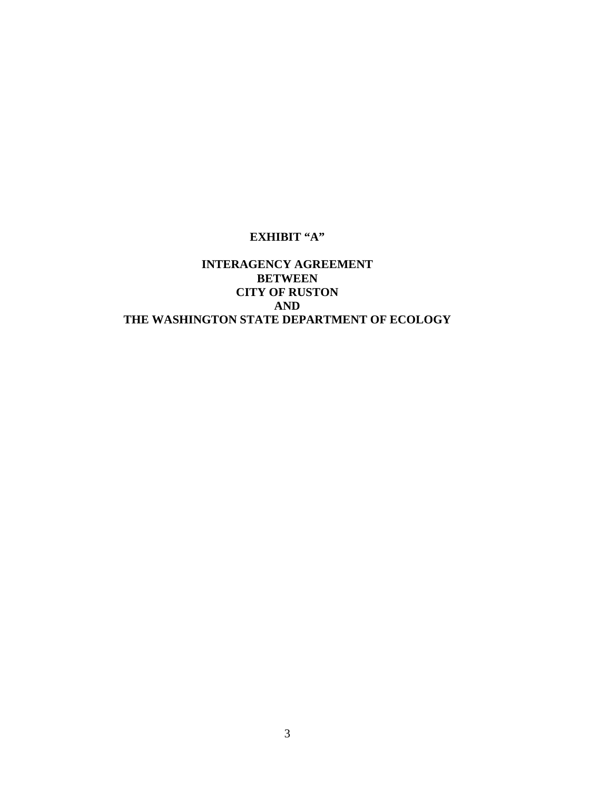# **EXHIBIT "A"**

# **INTERAGENCY AGREEMENT BETWEEN CITY OF RUSTON AND THE WASHINGTON STATE DEPARTMENT OF ECOLOGY**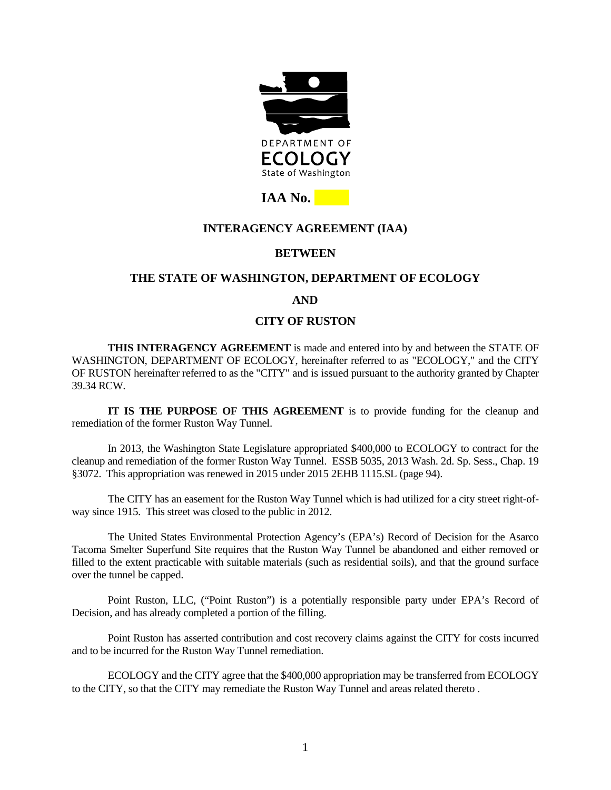

# **IAA No.**

# **INTERAGENCY AGREEMENT (IAA)**

### **BETWEEN**

### **THE STATE OF WASHINGTON, DEPARTMENT OF ECOLOGY**

# **AND**

# **CITY OF RUSTON**

**THIS INTERAGENCY AGREEMENT** is made and entered into by and between the STATE OF WASHINGTON, DEPARTMENT OF ECOLOGY, hereinafter referred to as "ECOLOGY," and the CITY OF RUSTON hereinafter referred to as the "CITY" and is issued pursuant to the authority granted by Chapter 39.34 RCW.

**IT IS THE PURPOSE OF THIS AGREEMENT** is to provide funding for the cleanup and remediation of the former Ruston Way Tunnel.

In 2013, the Washington State Legislature appropriated \$400,000 to ECOLOGY to contract for the cleanup and remediation of the former Ruston Way Tunnel. ESSB 5035, 2013 Wash. 2d. Sp. Sess., Chap. 19 §3072. This appropriation was renewed in 2015 under 2015 2EHB 1115.SL (page 94).

The CITY has an easement for the Ruston Way Tunnel which is had utilized for a city street right-ofway since 1915. This street was closed to the public in 2012.

The United States Environmental Protection Agency's (EPA's) Record of Decision for the Asarco Tacoma Smelter Superfund Site requires that the Ruston Way Tunnel be abandoned and either removed or filled to the extent practicable with suitable materials (such as residential soils), and that the ground surface over the tunnel be capped.

Point Ruston, LLC, ("Point Ruston") is a potentially responsible party under EPA's Record of Decision, and has already completed a portion of the filling.

Point Ruston has asserted contribution and cost recovery claims against the CITY for costs incurred and to be incurred for the Ruston Way Tunnel remediation.

ECOLOGY and the CITY agree that the \$400,000 appropriation may be transferred from ECOLOGY to the CITY, so that the CITY may remediate the Ruston Way Tunnel and areas related thereto .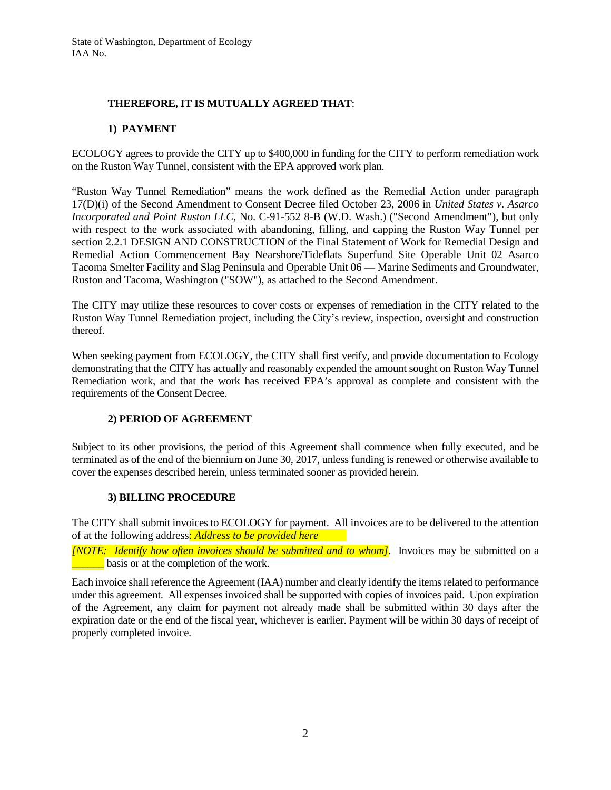### **THEREFORE, IT IS MUTUALLY AGREED THAT**:

#### **1) PAYMENT**

ECOLOGY agrees to provide the CITY up to \$400,000 in funding for the CITY to perform remediation work on the Ruston Way Tunnel, consistent with the EPA approved work plan.

"Ruston Way Tunnel Remediation" means the work defined as the Remedial Action under paragraph 17(D)(i) of the Second Amendment to Consent Decree filed October 23, 2006 in *United States v. Asarco Incorporated and Point Ruston LLC*, No. C-91-552 8-B (W.D. Wash.) ("Second Amendment"), but only with respect to the work associated with abandoning, filling, and capping the Ruston Way Tunnel per section 2.2.1 DESIGN AND CONSTRUCTION of the Final Statement of Work for Remedial Design and Remedial Action Commencement Bay Nearshore/Tideflats Superfund Site Operable Unit 02 Asarco Tacoma Smelter Facility and Slag Peninsula and Operable Unit 06 — Marine Sediments and Groundwater, Ruston and Tacoma, Washington ("SOW"), as attached to the Second Amendment.

The CITY may utilize these resources to cover costs or expenses of remediation in the CITY related to the Ruston Way Tunnel Remediation project, including the City's review, inspection, oversight and construction thereof.

When seeking payment from ECOLOGY, the CITY shall first verify, and provide documentation to Ecology demonstrating that the CITY has actually and reasonably expended the amount sought on Ruston Way Tunnel Remediation work, and that the work has received EPA's approval as complete and consistent with the requirements of the Consent Decree.

### **2) PERIOD OF AGREEMENT**

Subject to its other provisions, the period of this Agreement shall commence when fully executed, and be terminated as of the end of the biennium on June 30, 2017, unless funding is renewed or otherwise available to cover the expenses described herein, unless terminated sooner as provided herein.

#### **3) BILLING PROCEDURE**

The CITY shall submit invoices to ECOLOGY for payment. All invoices are to be delivered to the attention of at the following address: *Address to be provided here*

*[NOTE: Identify how often invoices should be submitted and to whom]*. Invoices may be submitted on a basis or at the completion of the work.

Each invoice shall reference the Agreement (IAA) number and clearly identify the items related to performance under this agreement. All expenses invoiced shall be supported with copies of invoices paid. Upon expiration of the Agreement, any claim for payment not already made shall be submitted within 30 days after the expiration date or the end of the fiscal year, whichever is earlier. Payment will be within 30 days of receipt of properly completed invoice.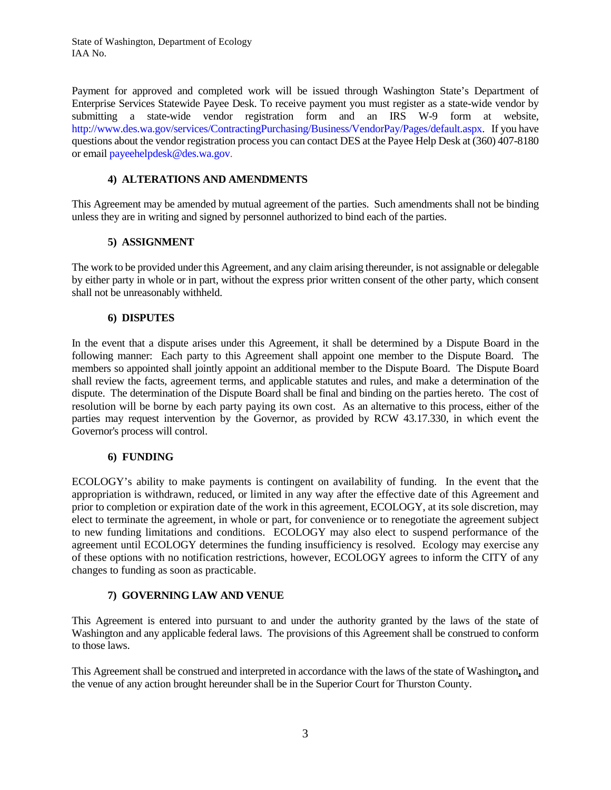Payment for approved and completed work will be issued through Washington State's Department of Enterprise Services Statewide Payee Desk. To receive payment you must register as a state-wide vendor by submitting a state-wide vendor registration form and an IRS W-9 form at website, [http://www.des.wa.gov/services/ContractingPurchasing/Business/VendorPay/Pages/default.aspx.](http://www.des.wa.gov/services/ContractingPurchasing/Business/VendorPay/Pages/default.aspx) If you have questions about the vendor registration process you can contact DES at the Payee Help Desk at (360) 407-8180 or emai[l payeehelpdesk@des.wa.gov.](mailto:payeehelpdesk@des.wa.gov)

#### **4) ALTERATIONS AND AMENDMENTS**

This Agreement may be amended by mutual agreement of the parties. Such amendments shall not be binding unless they are in writing and signed by personnel authorized to bind each of the parties.

#### **5) ASSIGNMENT**

The work to be provided under this Agreement, and any claim arising thereunder, is not assignable or delegable by either party in whole or in part, without the express prior written consent of the other party, which consent shall not be unreasonably withheld.

#### **6) DISPUTES**

In the event that a dispute arises under this Agreement, it shall be determined by a Dispute Board in the following manner: Each party to this Agreement shall appoint one member to the Dispute Board. The members so appointed shall jointly appoint an additional member to the Dispute Board. The Dispute Board shall review the facts, agreement terms, and applicable statutes and rules, and make a determination of the dispute. The determination of the Dispute Board shall be final and binding on the parties hereto. The cost of resolution will be borne by each party paying its own cost. As an alternative to this process, either of the parties may request intervention by the Governor, as provided by RCW 43.17.330, in which event the Governor's process will control.

#### **6) FUNDING**

ECOLOGY's ability to make payments is contingent on availability of funding. In the event that the appropriation is withdrawn, reduced, or limited in any way after the effective date of this Agreement and prior to completion or expiration date of the work in this agreement, ECOLOGY, at its sole discretion, may elect to terminate the agreement, in whole or part, for convenience or to renegotiate the agreement subject to new funding limitations and conditions. ECOLOGY may also elect to suspend performance of the agreement until ECOLOGY determines the funding insufficiency is resolved. Ecology may exercise any of these options with no notification restrictions, however, ECOLOGY agrees to inform the CITY of any changes to funding as soon as practicable.

#### **7) GOVERNING LAW AND VENUE**

This Agreement is entered into pursuant to and under the authority granted by the laws of the state of Washington and any applicable federal laws. The provisions of this Agreement shall be construed to conform to those laws.

This Agreement shall be construed and interpreted in accordance with the laws of the state of Washington**,** and the venue of any action brought hereunder shall be in the Superior Court for Thurston County.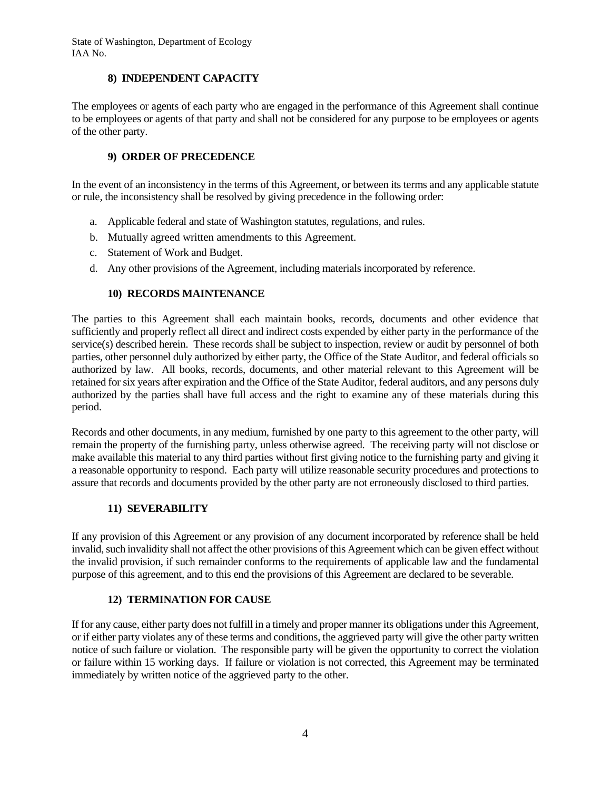#### **8) INDEPENDENT CAPACITY**

The employees or agents of each party who are engaged in the performance of this Agreement shall continue to be employees or agents of that party and shall not be considered for any purpose to be employees or agents of the other party.

### **9) ORDER OF PRECEDENCE**

In the event of an inconsistency in the terms of this Agreement, or between its terms and any applicable statute or rule, the inconsistency shall be resolved by giving precedence in the following order:

- a. Applicable federal and state of Washington statutes, regulations, and rules.
- b. Mutually agreed written amendments to this Agreement.
- c. Statement of Work and Budget.
- d. Any other provisions of the Agreement, including materials incorporated by reference.

#### **10) RECORDS MAINTENANCE**

The parties to this Agreement shall each maintain books, records, documents and other evidence that sufficiently and properly reflect all direct and indirect costs expended by either party in the performance of the service(s) described herein. These records shall be subject to inspection, review or audit by personnel of both parties, other personnel duly authorized by either party, the Office of the State Auditor, and federal officials so authorized by law. All books, records, documents, and other material relevant to this Agreement will be retained for six years after expiration and the Office of the State Auditor, federal auditors, and any persons duly authorized by the parties shall have full access and the right to examine any of these materials during this period.

Records and other documents, in any medium, furnished by one party to this agreement to the other party, will remain the property of the furnishing party, unless otherwise agreed. The receiving party will not disclose or make available this material to any third parties without first giving notice to the furnishing party and giving it a reasonable opportunity to respond. Each party will utilize reasonable security procedures and protections to assure that records and documents provided by the other party are not erroneously disclosed to third parties.

#### **11) SEVERABILITY**

If any provision of this Agreement or any provision of any document incorporated by reference shall be held invalid, such invalidity shall not affect the other provisions of this Agreement which can be given effect without the invalid provision, if such remainder conforms to the requirements of applicable law and the fundamental purpose of this agreement, and to this end the provisions of this Agreement are declared to be severable.

#### **12) TERMINATION FOR CAUSE**

If for any cause, either party does not fulfill in a timely and proper manner its obligations under this Agreement, or if either party violates any of these terms and conditions, the aggrieved party will give the other party written notice of such failure or violation. The responsible party will be given the opportunity to correct the violation or failure within 15 working days. If failure or violation is not corrected, this Agreement may be terminated immediately by written notice of the aggrieved party to the other.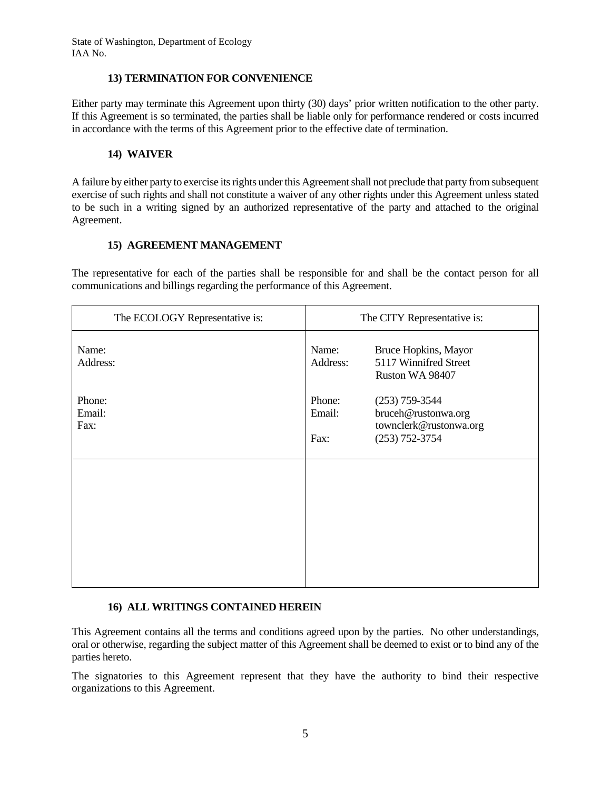#### **13) TERMINATION FOR CONVENIENCE**

Either party may terminate this Agreement upon thirty (30) days' prior written notification to the other party. If this Agreement is so terminated, the parties shall be liable only for performance rendered or costs incurred in accordance with the terms of this Agreement prior to the effective date of termination.

#### **14) WAIVER**

A failure by either party to exercise its rights under this Agreement shall not preclude that party from subsequent exercise of such rights and shall not constitute a waiver of any other rights under this Agreement unless stated to be such in a writing signed by an authorized representative of the party and attached to the original Agreement.

#### **15) AGREEMENT MANAGEMENT**

The representative for each of the parties shall be responsible for and shall be the contact person for all communications and billings regarding the performance of this Agreement.

| The ECOLOGY Representative is: | The CITY Representative is:                                                                                         |  |
|--------------------------------|---------------------------------------------------------------------------------------------------------------------|--|
| Name:<br>Address:              | Name:<br>Bruce Hopkins, Mayor<br>5117 Winnifred Street<br>Address:<br>Ruston WA 98407                               |  |
| Phone:<br>Email:<br>Fax:       | Phone:<br>$(253)$ 759-3544<br>Email:<br>bruceh@rustonwa.org<br>townclerk@rustonwa.org<br>$(253) 752 - 3754$<br>Fax: |  |
|                                |                                                                                                                     |  |

### **16) ALL WRITINGS CONTAINED HEREIN**

This Agreement contains all the terms and conditions agreed upon by the parties. No other understandings, oral or otherwise, regarding the subject matter of this Agreement shall be deemed to exist or to bind any of the parties hereto.

The signatories to this Agreement represent that they have the authority to bind their respective organizations to this Agreement.